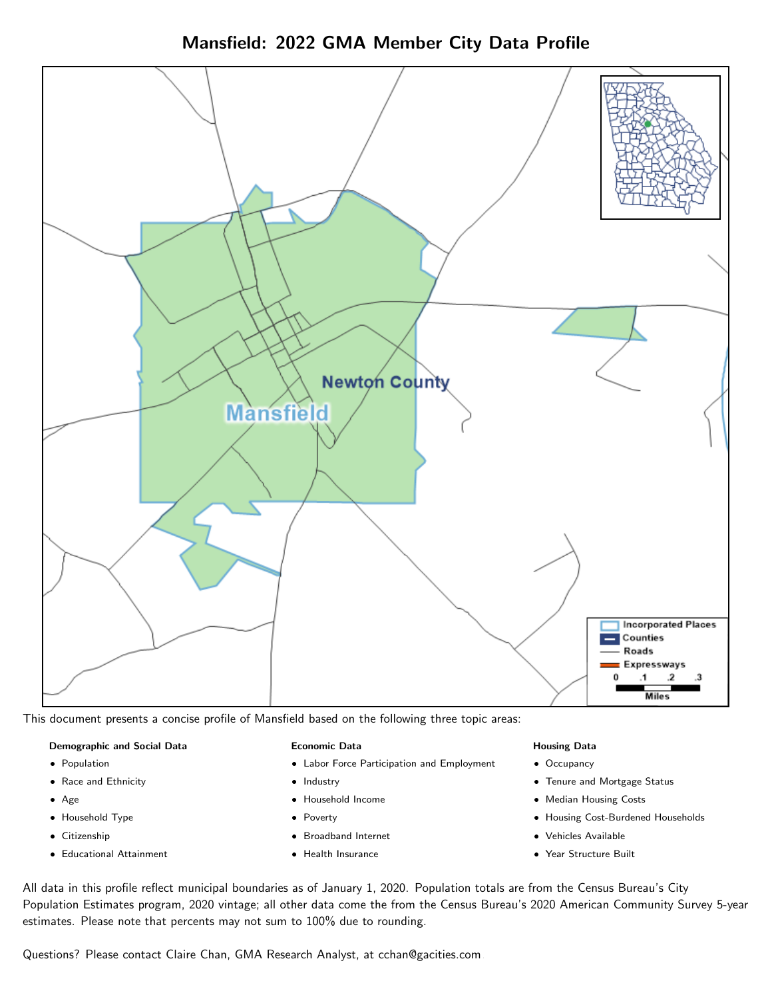



This document presents a concise profile of Mansfield based on the following three topic areas:

#### Demographic and Social Data

- **•** Population
- Race and Ethnicity
- Age
- Household Type
- **Citizenship**
- Educational Attainment

#### Economic Data

- Labor Force Participation and Employment
- Industry
- Household Income
- Poverty
- Broadband Internet
- Health Insurance

### Housing Data

- Occupancy
- Tenure and Mortgage Status
- Median Housing Costs
- Housing Cost-Burdened Households
- Vehicles Available
- Year Structure Built

All data in this profile reflect municipal boundaries as of January 1, 2020. Population totals are from the Census Bureau's City Population Estimates program, 2020 vintage; all other data come the from the Census Bureau's 2020 American Community Survey 5-year estimates. Please note that percents may not sum to 100% due to rounding.

Questions? Please contact Claire Chan, GMA Research Analyst, at [cchan@gacities.com.](mailto:cchan@gacities.com)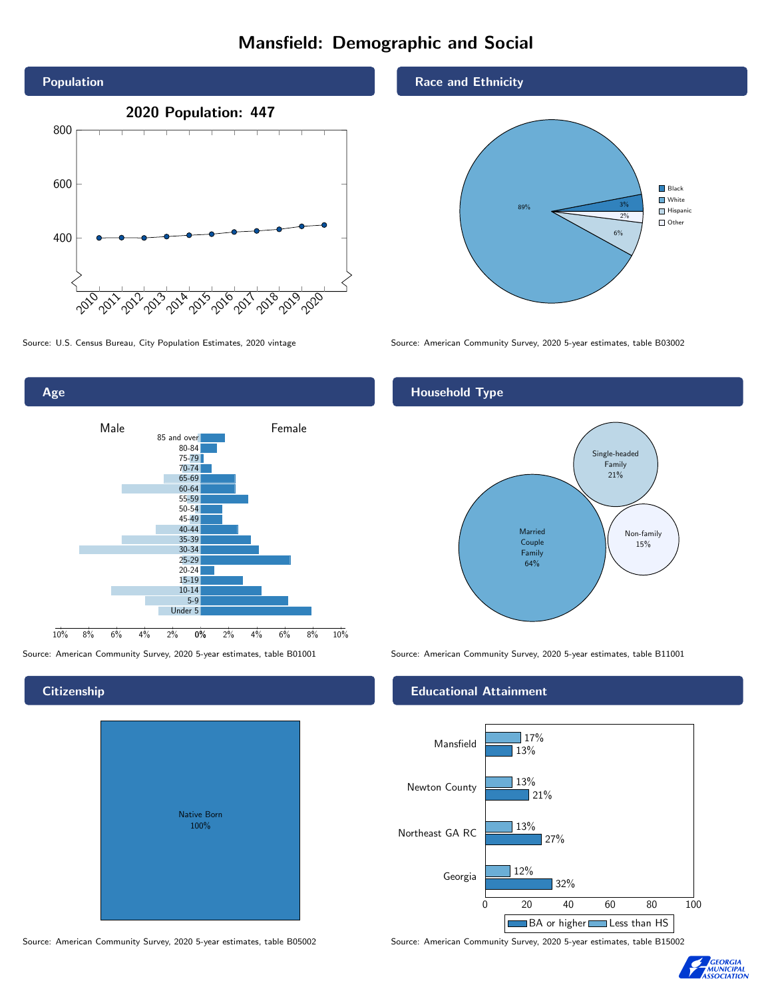# Mansfield: Demographic and Social





## **Citizenship**

| Native Born<br>100% |  |
|---------------------|--|

Race and Ethnicity



Source: U.S. Census Bureau, City Population Estimates, 2020 vintage Source: American Community Survey, 2020 5-year estimates, table B03002

## Household Type



Source: American Community Survey, 2020 5-year estimates, table B01001 Source: American Community Survey, 2020 5-year estimates, table B11001

### Educational Attainment



Source: American Community Survey, 2020 5-year estimates, table B05002 Source: American Community Survey, 2020 5-year estimates, table B15002

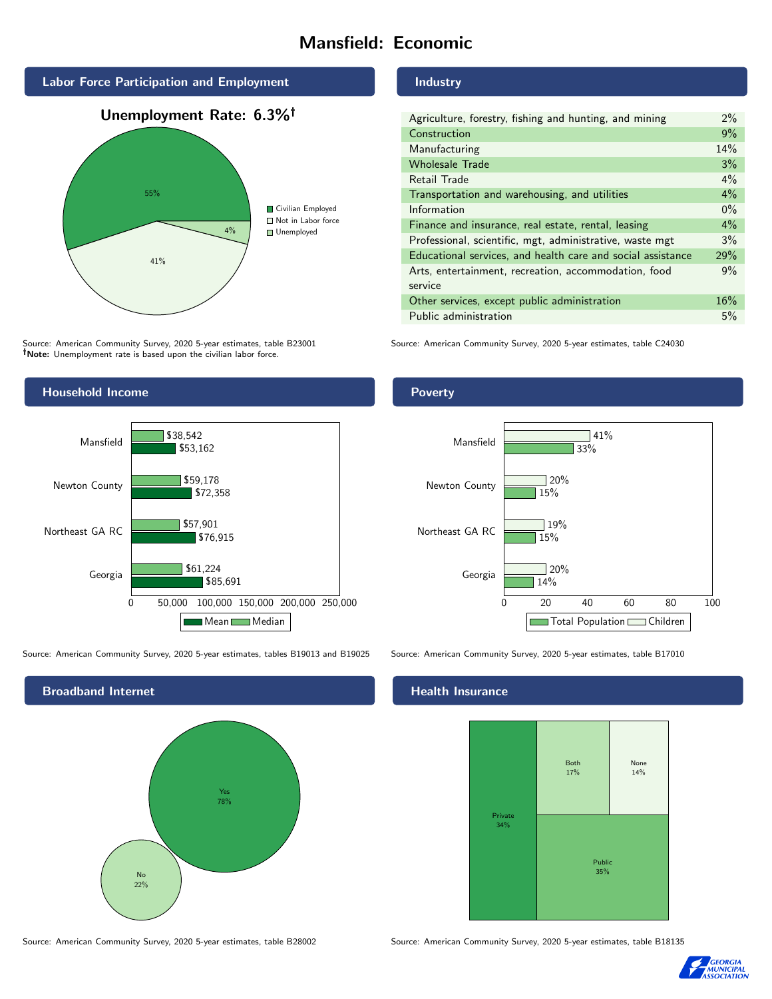# Mansfield: Economic



Source: American Community Survey, 2020 5-year estimates, table B23001 Note: Unemployment rate is based upon the civilian labor force.

## Industry

| Agriculture, forestry, fishing and hunting, and mining      | $2\%$ |
|-------------------------------------------------------------|-------|
| Construction                                                | 9%    |
| Manufacturing                                               | 14%   |
| <b>Wholesale Trade</b>                                      | 3%    |
| Retail Trade                                                | $4\%$ |
| Transportation and warehousing, and utilities               | 4%    |
| Information                                                 | $0\%$ |
| Finance and insurance, real estate, rental, leasing         | $4\%$ |
| Professional, scientific, mgt, administrative, waste mgt    | 3%    |
| Educational services, and health care and social assistance | 29%   |
| Arts, entertainment, recreation, accommodation, food        |       |
| service                                                     |       |
| Other services, except public administration                | 16%   |
| Public administration                                       | 5%    |

Source: American Community Survey, 2020 5-year estimates, table C24030



Source: American Community Survey, 2020 5-year estimates, tables B19013 and B19025 Source: American Community Survey, 2020 5-year estimates, table B17010



Poverty



#### Health Insurance



Source: American Community Survey, 2020 5-year estimates, table B28002 Source: American Community Survey, 2020 5-year estimates, table B18135